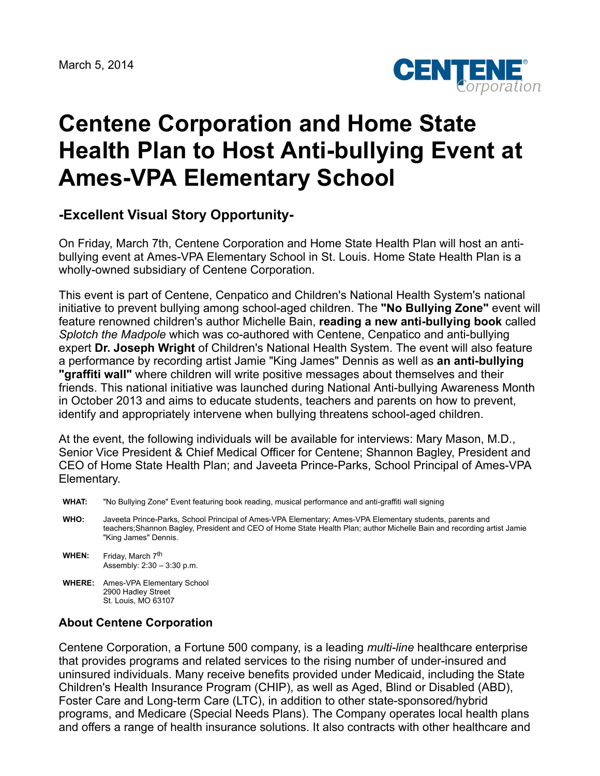

## **Centene Corporation and Home State Health Plan to Host Anti-bullying Event at Ames-VPA Elementary School**

## **-Excellent Visual Story Opportunity-**

On Friday, March 7th, Centene Corporation and Home State Health Plan will host an antibullying event at Ames-VPA Elementary School in St. Louis. Home State Health Plan is a wholly-owned subsidiary of Centene Corporation.

This event is part of Centene, Cenpatico and Children's National Health System's national initiative to prevent bullying among school-aged children. The **"No Bullying Zone"** event will feature renowned children's author Michelle Bain, **reading a new anti-bullying book** called *Splotch the Madpole* which was co-authored with Centene, Cenpatico and anti-bullying expert **Dr. Joseph Wright** of Children's National Health System. The event will also feature a performance by recording artist Jamie "King James" Dennis as well as **an anti-bullying "graffiti wall"** where children will write positive messages about themselves and their friends. This national initiative was launched during National Anti-bullying Awareness Month in October 2013 and aims to educate students, teachers and parents on how to prevent, identify and appropriately intervene when bullying threatens school-aged children.

At the event, the following individuals will be available for interviews: Mary Mason, M.D., Senior Vice President & Chief Medical Officer for Centene; Shannon Bagley, President and CEO of Home State Health Plan; and Javeeta Prince-Parks, School Principal of Ames-VPA Elementary.

- **WHAT:** "No Bullying Zone" Event featuring book reading, musical performance and anti-graffiti wall signing
- **WHO:** Javeeta Prince-Parks, School Principal of Ames-VPA Elementary; Ames-VPA Elementary students, parents and teachers;Shannon Bagley, President and CEO of Home State Health Plan; author Michelle Bain and recording artist Jamie "King James" Dennis.

**WHEN:** Friday, March 7<sup>th</sup> Assembly: 2:30 – 3:30 p.m.

**WHERE:** Ames-VPA Elementary School 2900 Hadley Street St. Louis, MO 63107

## **About Centene Corporation**

Centene Corporation, a Fortune 500 company, is a leading *multi-line* healthcare enterprise that provides programs and related services to the rising number of under-insured and uninsured individuals. Many receive benefits provided under Medicaid, including the State Children's Health Insurance Program (CHIP), as well as Aged, Blind or Disabled (ABD), Foster Care and Long-term Care (LTC), in addition to other state-sponsored/hybrid programs, and Medicare (Special Needs Plans). The Company operates local health plans and offers a range of health insurance solutions. It also contracts with other healthcare and